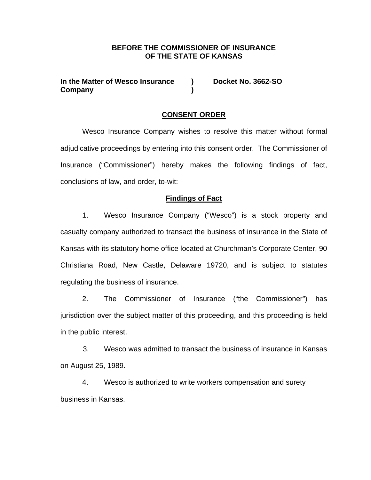### **BEFORE THE COMMISSIONER OF INSURANCE OF THE STATE OF KANSAS**

**In the Matter of Wesco Insurance ) Docket No. 3662-SO Company )** 

### **CONSENT ORDER**

 Wesco Insurance Company wishes to resolve this matter without formal adjudicative proceedings by entering into this consent order. The Commissioner of Insurance ("Commissioner") hereby makes the following findings of fact, conclusions of law, and order, to-wit:

### **Findings of Fact**

1. Wesco Insurance Company ("Wesco") is a stock property and casualty company authorized to transact the business of insurance in the State of Kansas with its statutory home office located at Churchman's Corporate Center, 90 Christiana Road, New Castle, Delaware 19720, and is subject to statutes regulating the business of insurance.

2. The Commissioner of Insurance ("the Commissioner") has jurisdiction over the subject matter of this proceeding, and this proceeding is held in the public interest.

3. Wesco was admitted to transact the business of insurance in Kansas on August 25, 1989.

4. Wesco is authorized to write workers compensation and surety business in Kansas.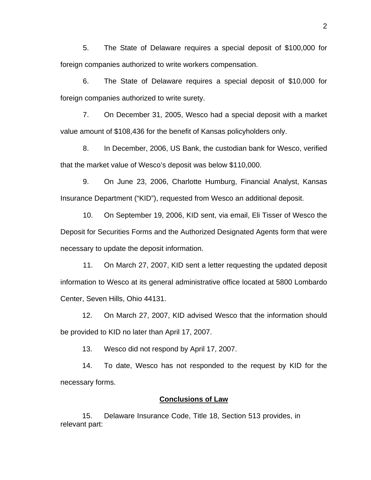5. The State of Delaware requires a special deposit of \$100,000 for foreign companies authorized to write workers compensation.

6. The State of Delaware requires a special deposit of \$10,000 for foreign companies authorized to write surety.

7. On December 31, 2005, Wesco had a special deposit with a market value amount of \$108,436 for the benefit of Kansas policyholders only.

8. In December, 2006, US Bank, the custodian bank for Wesco, verified that the market value of Wesco's deposit was below \$110,000.

9. On June 23, 2006, Charlotte Humburg, Financial Analyst, Kansas Insurance Department ("KID"), requested from Wesco an additional deposit.

10. On September 19, 2006, KID sent, via email, Eli Tisser of Wesco the Deposit for Securities Forms and the Authorized Designated Agents form that were necessary to update the deposit information.

11. On March 27, 2007, KID sent a letter requesting the updated deposit information to Wesco at its general administrative office located at 5800 Lombardo Center, Seven Hills, Ohio 44131.

 12. On March 27, 2007, KID advised Wesco that the information should be provided to KID no later than April 17, 2007.

13. Wesco did not respond by April 17, 2007.

 14. To date, Wesco has not responded to the request by KID for the necessary forms.

### **Conclusions of Law**

15. Delaware Insurance Code, Title 18, Section 513 provides, in relevant part: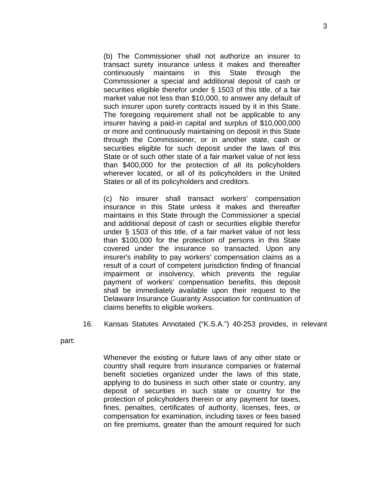(b) The Commissioner shall not authorize an insurer to transact surety insurance unless it makes and thereafter continuously maintains in this State through the Commissioner a special and additional deposit of cash or securities eligible therefor under § 1503 of this title, of a fair market value not less than \$10,000, to answer any default of such insurer upon surety contracts issued by it in this State. The foregoing requirement shall not be applicable to any insurer having a paid-in capital and surplus of \$10,000,000 or more and continuously maintaining on deposit in this State through the Commissioner, or in another state, cash or securities eligible for such deposit under the laws of this State or of such other state of a fair market value of not less than \$400,000 for the protection of all its policyholders wherever located, or all of its policyholders in the United States or all of its policyholders and creditors.

(c) No insurer shall transact workers' compensation insurance in this State unless it makes and thereafter maintains in this State through the Commissioner a special and additional deposit of cash or securities eligible therefor under § 1503 of this title, of a fair market value of not less than \$100,000 for the protection of persons in this State covered under the insurance so transacted. Upon any insurer's inability to pay workers' compensation claims as a result of a court of competent jurisdiction finding of financial impairment or insolvency, which prevents the regular payment of workers' compensation benefits, this deposit shall be immediately available upon their request to the Delaware Insurance Guaranty Association for continuation of claims benefits to eligible workers.

16. Kansas Statutes Annotated ("K.S.A.") 40-253 provides, in relevant

part:

Whenever the existing or future laws of any other state or country shall require from insurance companies or fraternal benefit societies organized under the laws of this state, applying to do business in such other state or country, any deposit of securities in such state or country for the protection of policyholders therein or any payment for taxes, fines, penalties, certificates of authority, licenses, fees, or compensation for examination, including taxes or fees based on fire premiums, greater than the amount required for such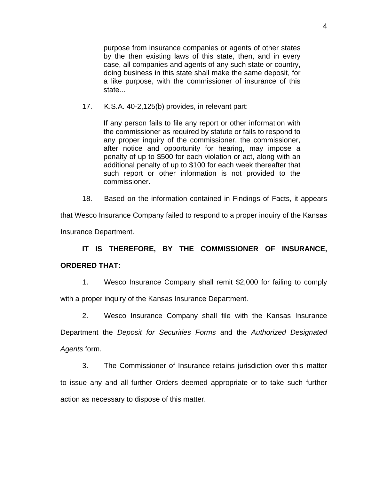purpose from insurance companies or agents of other states by the then existing laws of this state, then, and in every case, all companies and agents of any such state or country, doing business in this state shall make the same deposit, for a like purpose, with the commissioner of insurance of this state...

17. K.S.A. 40-2,125(b) provides, in relevant part:

If any person fails to file any report or other information with the commissioner as required by statute or fails to respond to any proper inquiry of the commissioner, the commissioner, after notice and opportunity for hearing, may impose a penalty of up to \$500 for each violation or act, along with an additional penalty of up to \$100 for each week thereafter that such report or other information is not provided to the commissioner.

18. Based on the information contained in Findings of Facts, it appears

that Wesco Insurance Company failed to respond to a proper inquiry of the Kansas

Insurance Department.

## **IT IS THEREFORE, BY THE COMMISSIONER OF INSURANCE, ORDERED THAT:**

1. Wesco Insurance Company shall remit \$2,000 for failing to comply with a proper inquiry of the Kansas Insurance Department.

2. Wesco Insurance Company shall file with the Kansas Insurance

Department the *Deposit for Securities Forms* and the *Authorized Designated Agents* form.

3. The Commissioner of Insurance retains jurisdiction over this matter to issue any and all further Orders deemed appropriate or to take such further action as necessary to dispose of this matter.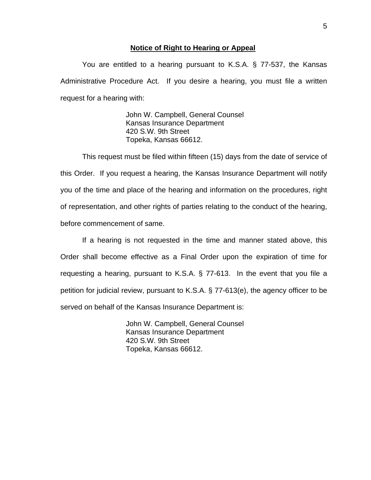#### **Notice of Right to Hearing or Appeal**

You are entitled to a hearing pursuant to K.S.A. § 77-537, the Kansas Administrative Procedure Act. If you desire a hearing, you must file a written request for a hearing with:

> John W. Campbell, General Counsel Kansas Insurance Department 420 S.W. 9th Street Topeka, Kansas 66612.

This request must be filed within fifteen (15) days from the date of service of this Order. If you request a hearing, the Kansas Insurance Department will notify you of the time and place of the hearing and information on the procedures, right of representation, and other rights of parties relating to the conduct of the hearing, before commencement of same.

If a hearing is not requested in the time and manner stated above, this Order shall become effective as a Final Order upon the expiration of time for requesting a hearing, pursuant to K.S.A. § 77-613. In the event that you file a petition for judicial review, pursuant to K.S.A. § 77-613(e), the agency officer to be served on behalf of the Kansas Insurance Department is:

> John W. Campbell, General Counsel Kansas Insurance Department 420 S.W. 9th Street Topeka, Kansas 66612.